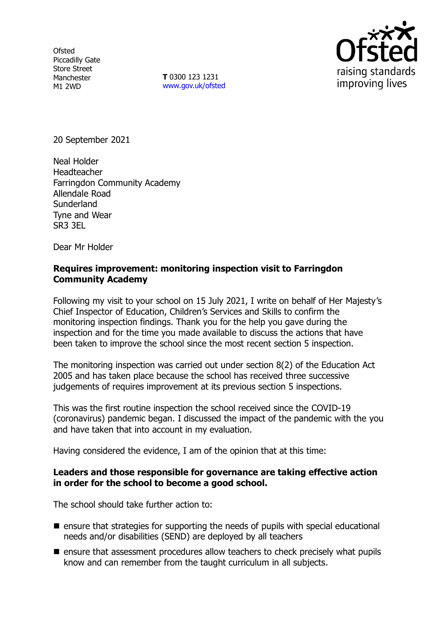**Ofsted** Piccadilly Gate Store Street Manchester M1 2WD

**T** 0300 123 1231 [www.gov.uk/ofsted](http://www.gov.uk/ofsted)



20 September 2021

Neal Holder Headteacher Farringdon Community Academy Allendale Road **Sunderland** Tyne and Wear SR3 3EL

Dear Mr Holder

# **Requires improvement: monitoring inspection visit to Farringdon Community Academy**

Following my visit to your school on 15 July 2021, I write on behalf of Her Majesty's Chief Inspector of Education, Children's Services and Skills to confirm the monitoring inspection findings. Thank you for the help you gave during the inspection and for the time you made available to discuss the actions that have been taken to improve the school since the most recent section 5 inspection.

The monitoring inspection was carried out under section 8(2) of the Education Act 2005 and has taken place because the school has received three successive judgements of requires improvement at its previous section 5 inspections.

This was the first routine inspection the school received since the COVID-19 (coronavirus) pandemic began. I discussed the impact of the pandemic with the you and have taken that into account in my evaluation.

Having considered the evidence, I am of the opinion that at this time:

# **Leaders and those responsible for governance are taking effective action in order for the school to become a good school.**

The school should take further action to:

- ensure that strategies for supporting the needs of pupils with special educational needs and/or disabilities (SEND) are deployed by all teachers
- ensure that assessment procedures allow teachers to check precisely what pupils know and can remember from the taught curriculum in all subjects.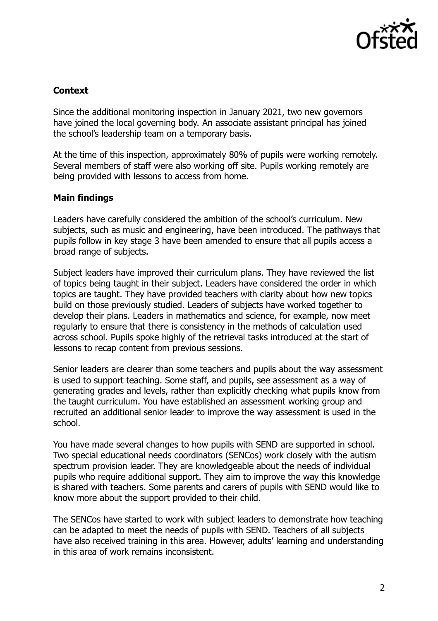

# **Context**

Since the additional monitoring inspection in January 2021, two new governors have joined the local governing body. An associate assistant principal has joined the school's leadership team on a temporary basis.

At the time of this inspection, approximately 80% of pupils were working remotely. Several members of staff were also working off site. Pupils working remotely are being provided with lessons to access from home.

# **Main findings**

Leaders have carefully considered the ambition of the school's curriculum. New subjects, such as music and engineering, have been introduced. The pathways that pupils follow in key stage 3 have been amended to ensure that all pupils access a broad range of subjects.

Subject leaders have improved their curriculum plans. They have reviewed the list of topics being taught in their subject. Leaders have considered the order in which topics are taught. They have provided teachers with clarity about how new topics build on those previously studied. Leaders of subjects have worked together to develop their plans. Leaders in mathematics and science, for example, now meet regularly to ensure that there is consistency in the methods of calculation used across school. Pupils spoke highly of the retrieval tasks introduced at the start of lessons to recap content from previous sessions.

Senior leaders are clearer than some teachers and pupils about the way assessment is used to support teaching. Some staff, and pupils, see assessment as a way of generating grades and levels, rather than explicitly checking what pupils know from the taught curriculum. You have established an assessment working group and recruited an additional senior leader to improve the way assessment is used in the school.

You have made several changes to how pupils with SEND are supported in school. Two special educational needs coordinators (SENCos) work closely with the autism spectrum provision leader. They are knowledgeable about the needs of individual pupils who require additional support. They aim to improve the way this knowledge is shared with teachers. Some parents and carers of pupils with SEND would like to know more about the support provided to their child.

The SENCos have started to work with subject leaders to demonstrate how teaching can be adapted to meet the needs of pupils with SEND. Teachers of all subjects have also received training in this area. However, adults' learning and understanding in this area of work remains inconsistent.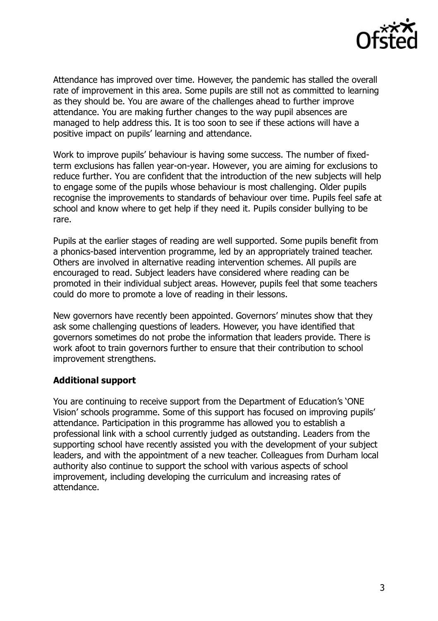

Attendance has improved over time. However, the pandemic has stalled the overall rate of improvement in this area. Some pupils are still not as committed to learning as they should be. You are aware of the challenges ahead to further improve attendance. You are making further changes to the way pupil absences are managed to help address this. It is too soon to see if these actions will have a positive impact on pupils' learning and attendance.

Work to improve pupils' behaviour is having some success. The number of fixedterm exclusions has fallen year-on-year. However, you are aiming for exclusions to reduce further. You are confident that the introduction of the new subjects will help to engage some of the pupils whose behaviour is most challenging. Older pupils recognise the improvements to standards of behaviour over time. Pupils feel safe at school and know where to get help if they need it. Pupils consider bullying to be rare.

Pupils at the earlier stages of reading are well supported. Some pupils benefit from a phonics-based intervention programme, led by an appropriately trained teacher. Others are involved in alternative reading intervention schemes. All pupils are encouraged to read. Subject leaders have considered where reading can be promoted in their individual subject areas. However, pupils feel that some teachers could do more to promote a love of reading in their lessons.

New governors have recently been appointed. Governors' minutes show that they ask some challenging questions of leaders. However, you have identified that governors sometimes do not probe the information that leaders provide. There is work afoot to train governors further to ensure that their contribution to school improvement strengthens.

### **Additional support**

You are continuing to receive support from the Department of Education's 'ONE Vision' schools programme. Some of this support has focused on improving pupils' attendance. Participation in this programme has allowed you to establish a professional link with a school currently judged as outstanding. Leaders from the supporting school have recently assisted you with the development of your subject leaders, and with the appointment of a new teacher. Colleagues from Durham local authority also continue to support the school with various aspects of school improvement, including developing the curriculum and increasing rates of attendance.